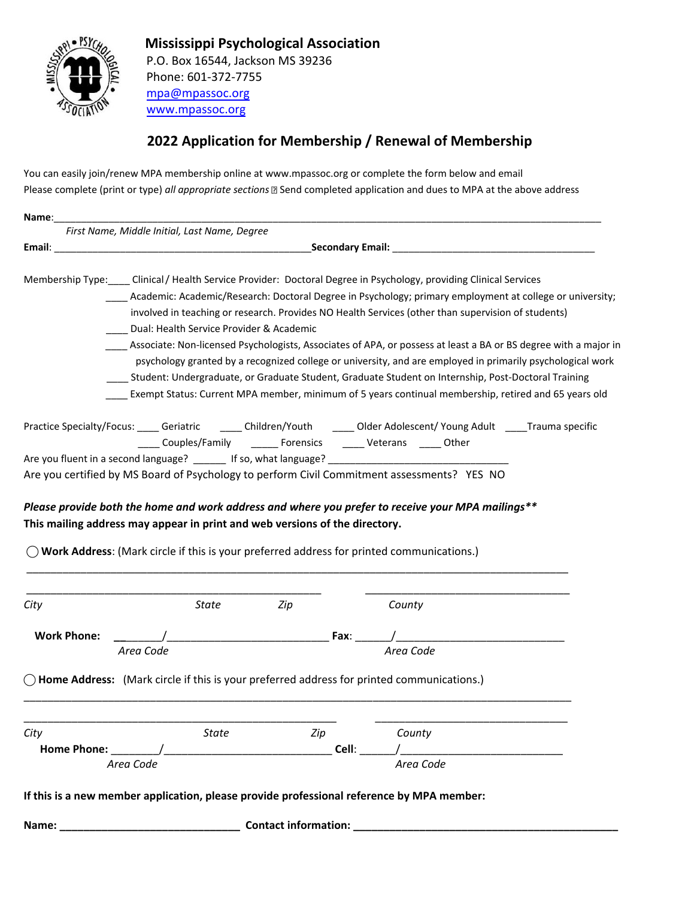

 **Mississippi Psychological Association** P.O. Box 16544, Jackson MS 39236 Phone: 601-372-7755 mpa@mpassoc.org www.mpassoc.org

## **2022 Application for Membership / Renewal of Membership**

You can easily join/renew MPA membership online at www.mpassoc.org or complete the form below and email Please complete (print or type) *all appropriate sections* **B** Send completed application and dues to MPA at the above address

| State        | Zip                    |                                                                                           | County    |                                                                                                                                                                                                                                                                                                                                                                                                                                                                                                                                                                                                                                                                                                                                                                                                                                                                                                                                                                                                                                                                                                                                                                                                                                                                                                                                                                                                                                                                                                                                                                                                                                                                                                                                                                                   |
|--------------|------------------------|-------------------------------------------------------------------------------------------|-----------|-----------------------------------------------------------------------------------------------------------------------------------------------------------------------------------------------------------------------------------------------------------------------------------------------------------------------------------------------------------------------------------------------------------------------------------------------------------------------------------------------------------------------------------------------------------------------------------------------------------------------------------------------------------------------------------------------------------------------------------------------------------------------------------------------------------------------------------------------------------------------------------------------------------------------------------------------------------------------------------------------------------------------------------------------------------------------------------------------------------------------------------------------------------------------------------------------------------------------------------------------------------------------------------------------------------------------------------------------------------------------------------------------------------------------------------------------------------------------------------------------------------------------------------------------------------------------------------------------------------------------------------------------------------------------------------------------------------------------------------------------------------------------------------|
|              |                        |                                                                                           |           |                                                                                                                                                                                                                                                                                                                                                                                                                                                                                                                                                                                                                                                                                                                                                                                                                                                                                                                                                                                                                                                                                                                                                                                                                                                                                                                                                                                                                                                                                                                                                                                                                                                                                                                                                                                   |
|              |                        |                                                                                           |           |                                                                                                                                                                                                                                                                                                                                                                                                                                                                                                                                                                                                                                                                                                                                                                                                                                                                                                                                                                                                                                                                                                                                                                                                                                                                                                                                                                                                                                                                                                                                                                                                                                                                                                                                                                                   |
|              |                        |                                                                                           |           |                                                                                                                                                                                                                                                                                                                                                                                                                                                                                                                                                                                                                                                                                                                                                                                                                                                                                                                                                                                                                                                                                                                                                                                                                                                                                                                                                                                                                                                                                                                                                                                                                                                                                                                                                                                   |
| <b>State</b> | Zip                    |                                                                                           | County    |                                                                                                                                                                                                                                                                                                                                                                                                                                                                                                                                                                                                                                                                                                                                                                                                                                                                                                                                                                                                                                                                                                                                                                                                                                                                                                                                                                                                                                                                                                                                                                                                                                                                                                                                                                                   |
|              |                        |                                                                                           |           |                                                                                                                                                                                                                                                                                                                                                                                                                                                                                                                                                                                                                                                                                                                                                                                                                                                                                                                                                                                                                                                                                                                                                                                                                                                                                                                                                                                                                                                                                                                                                                                                                                                                                                                                                                                   |
|              |                        |                                                                                           | Area Code |                                                                                                                                                                                                                                                                                                                                                                                                                                                                                                                                                                                                                                                                                                                                                                                                                                                                                                                                                                                                                                                                                                                                                                                                                                                                                                                                                                                                                                                                                                                                                                                                                                                                                                                                                                                   |
|              |                        |                                                                                           |           |                                                                                                                                                                                                                                                                                                                                                                                                                                                                                                                                                                                                                                                                                                                                                                                                                                                                                                                                                                                                                                                                                                                                                                                                                                                                                                                                                                                                                                                                                                                                                                                                                                                                                                                                                                                   |
|              |                        |                                                                                           |           |                                                                                                                                                                                                                                                                                                                                                                                                                                                                                                                                                                                                                                                                                                                                                                                                                                                                                                                                                                                                                                                                                                                                                                                                                                                                                                                                                                                                                                                                                                                                                                                                                                                                                                                                                                                   |
|              | Area Code<br>Area Code | First Name, Middle Initial, Last Name, Degree<br>Dual: Health Service Provider & Academic |           | Membership Type: ____ Clinical / Health Service Provider: Doctoral Degree in Psychology, providing Clinical Services<br>Academic: Academic/Research: Doctoral Degree in Psychology; primary employment at college or university;<br>involved in teaching or research. Provides NO Health Services (other than supervision of students)<br>Associate: Non-licensed Psychologists, Associates of APA, or possess at least a BA or BS degree with a major in<br>psychology granted by a recognized college or university, and are employed in primarily psychological work<br>Student: Undergraduate, or Graduate Student, Graduate Student on Internship, Post-Doctoral Training<br>Exempt Status: Current MPA member, minimum of 5 years continual membership, retired and 65 years old<br>Practice Specialty/Focus: _____ Geriatric _______ Children/Youth ______ Older Adolescent/Young Adult _____Trauma specific<br>Couples/Family _______ Forensics ______ Veterans _____ Other<br>Are you fluent in a second language? ______ If so, what language? __________________________________<br>Are you certified by MS Board of Psychology to perform Civil Commitment assessments? YES NO<br>Please provide both the home and work address and where you prefer to receive your MPA mailings**<br>This mailing address may appear in print and web versions of the directory.<br>$\bigcirc$ Work Address: (Mark circle if this is your preferred address for printed communications.)<br>$Fax:$ $\frac{1}{\sqrt{ax} + bx}$ $\frac{1}{\sqrt{ax} + bx}$<br>Area Code<br>$\bigcirc$ Home Address: (Mark circle if this is your preferred address for printed communications.)<br>Cell:<br>If this is a new member application, please provide professional reference by MPA member: |